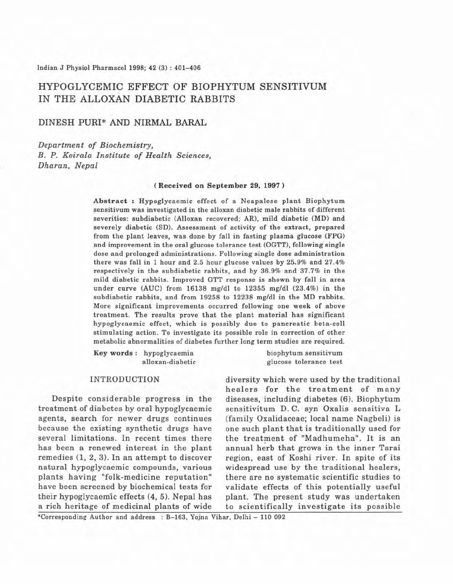# HYPOGLYCEMIC EFFECT OF BIOPHYTUM SENSITIVUM IN THE ALLOXAN DIABETIC RABBITS

# DINESH PURl' AND NIRMAL BARAL

*Department of Biochemistry, B. P. Koirala Institute of Health Sciences, Dharan, Nepal*

## (Received on September 29, 1997)

Abstract: Hypoglycaemic effect of a Neapalese plant Biophytum sensitivum was investigated in the alloxan diabetic male rabbits of different severities: subdiabetic (Alloxan recovered; AR), mild diabetic (MO) and severely diabetic (SD). Assessment of activity of the extract, prepared from the plant leaves, was done by fall in fasting plasma glucose (FPG) and improvement in the oral glucose tolerance test (OOTT), following single dose and prolonged administrations. Following single dose administration there was fall in 1 hour and 2.5 hour glucose values by 25.9% and 27.4% respectively in the subdiabetic rabbits, and by 36.9% and 37.7% in the mild diabetic rabbits. Improved GTT response is shown by fall in area under curve (AUC) from 16138 mg/dl to 12355 mg/dl (23.4%) in the subdiabetic rabbits, and from 19258 to 12238 mg/dl in the MD rabbits. More significant improvements occurred following one week of above treatment. The results prove that the plant material has significant hypoglycaemic effect, which is possibly due to pancreatic beta-cell stimulating action. To investigate its possible role in correction of other metabolic abnormalities of diabetes further long term studies are required.

Key words: hypoglycaemia biophytum sensitivum

alloxan·diabetic glucose tolerance test

treatment of diabetes by oral hypoglycaemic sensitivitum D. C. syn Oxalis sensitiva L agents, search for newer drugs continues (family Oxalidaceae; local name Nagbeli) is because the existing synthetic drugs have one such plant that is traditionally used for several limitations. In recent times there the treatment of "Madhumeha". It is an has been a renewed interest in the plant annual herb that grows in the inner Tarai remedies  $(1, 2, 3)$ . In an attempt to discover region, east of Koshi river. In spite of its natural hypoglycaemic compounds, various widespread use by the traditional healers, plants having "folk-medicine reputation" there are no systematic scientific studies to have been screened by biochemical tests for validate effects of this potentially useful their hypoglycaemlc effects (4, 5). Nepal has plant. The present study was undertaken a rich heritage of medicinal plants of wide to scientifically investigate its possible

INTRODUCTION diversity which were used by the traditional healers for the treatment of many Despite considerable progress in the diseases, including diabetes (6). Biophytum

\*Corresponding Author and address : B-163, Yojna Vihar, Delhi - 110 092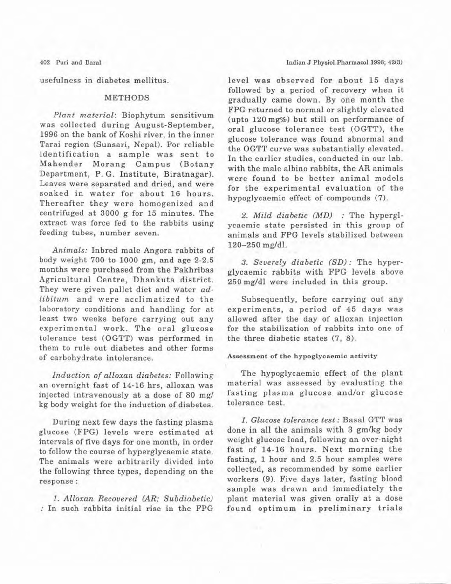usefulness in diabetes mellitus.

# METHODS

*Plant material:* Biophytum sensitivum was collected during August-September. 1996 on the bank of Koshi river, in the inner Tarai region (Sunsari, Nepal). For reliable identification a sample was sent to Mahender Morang Campus (Botany Department, P. G. Institute, Biratnagar). Leaves were separated and dried, and were soaked in water for about 16 hours. Thereafter they were homogenized and centrifuged at 3000 g for 15 minutes. The extract was force fed to the rabbits using feeding tubes, number seven.

*Animals:* Inbred male Angora rabbits of body weight 700 to 1000 gm, and age 2·2.5 months were purchased from the Pakhribas Agricultural Centre, Dhankuta district. They were given pallet diet and water *adlibitum* and were acclimatized to the laboratory conditions and handling for at least two weeks before carrying out any experimental work. The oral glucose tolerance test (OGTT) was performed in them to rule out diabetes and other forms of carbohydrate intolerance.

*Induction of alloxan diabetes:* Following an overnight fast of 14-16 hrs, alloxan was injected intravenously at a dose of 80 *mgl* kg body weight for the induction of diabetes.

During next few days the fasting plasma glucose (FPG) levels were estimated at intervals of five days for one month, in order to follow the course of hyperglycaemic state. The animals were arbitrarily divided into the following three types, depending on the response:

*1. Alloxan Recovered (AR; Subdiabctic)* : In such rabbits initial rise in the FPG level was observed for about 15 days followed by a period of recovery when it gradually came down. By one month the FPG returned to normal or slightly elevated (upto 120 mg%) but still on performance of oral glucose tolerance test (OGTT), the glucose tolerance was found abnormal and the OGTT curve was substantially elevated. In the earlier studies, conducted in our lab. with the male albino rabbits, the AR animals were found to be better animal models for the experimental evaluation of the hypoglycaemic effect of compounds (7).

*2. Mild diabetic (MD)* : The hyperglycaemic state persisted in this group of animals and FPG levels stabilized between *120-250 mg/dl.*

3. *Severely diabetic* (SD): The hyperglycaemic rabbits with FPG levels above 250 mg/dl were included in this group.

Subsequently, before carrying out any experiments, a period of 45 days was allowed after the day of alloxan injection for the stabilization of rabbits into one of the three diabetic states (7, 8).

### Assessment of the hypoglycaemic activity

The hypoglycaemic effect of the plant material was assessed by evaluating the fasting plasma glucose and/or glucose tolerance test.

*1. Glucose tolerance test:* Basal GTT was done in all the animals with 3 gm/kg body weight glucose load, following an over·night fast of 14·16 hours. Next morning the fasting, 1 hour and 2.5 hour samples were collected, as recommended by some earlier workers (9). Five days later, fasting blood sample was drawn and immediately the plant material was given orally at a dose found optimum in preliminary trials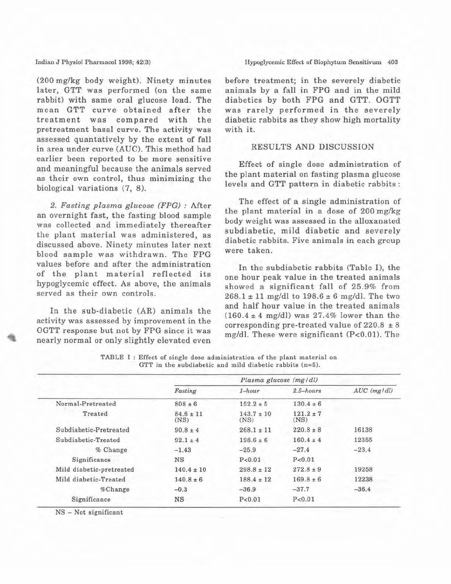#### Indian J Physiol Pharmacol 1998; 42(3)

(200 mg/kg body weight). Ninety minutes later, GTT was performed (on the same rabbit) with same oral glucose load. The mean GTT curve obtained after the treatment was compared with the pretreatment basal curve. The activity was assessed quantatively by the extent of fall in area under curve (AUC). This method had earlier been reported to be more sensitive and meaningful because the animals served as their own control, thus minimizing the biological variations (7, 8).

*2. Fasting plasma glucose (FPGJ* : After an overnight fast, the fasting blood sample was collected and immediately thereafter the plant material was administered, as discussed above. Ninety minutes later next blood sample was withdrawn. The FPG values before and after the administration of the plant material reflected its hypoglycemic effect. As above, the animals served as their own controls.

In the sub-diabetic (AR) animals the activity was assessed by improvement in the OGTT response but not by FPG since it was nearly normal or only slightly elevated even before treatment; in the severely diabetic animals by a fall in FPG and in the mild diabetics by both FPG and GTT. OGTT was rarely performed in the severely diabetic rabbits as they show high mortality with it.

# RESULTS AND DISCUSSION

Effect of single dose administration of the plant material on fasting plasma glucose levels and GTT pattern in diabetic rabbits:

The effect of a single administration of the plant material in a dose of 200 mg/kg body weight was assessed in the alloxanated subdiabetic, mild diabetic and severely diabetic rabbits. Five animals in each group were taken.

In the subdiabetic rabbits (Table I), the one hour peak value in the treated animals showed a significant fall of 25.9% from  $268.1 \pm 11$  mg/dl to  $198.6 \pm 6$  mg/dl. The two and half hour value in the treated animals  $(160.4 \pm 4 \text{ mg/dl})$  was 27.4% lower than the corresponding pre-treated value of  $220.8 \pm 8$ mg/dl. These were significant  $(P<0.01)$ . The

|                          |                       | Plasma glucose (mg/dl) |                       |                   |
|--------------------------|-----------------------|------------------------|-----------------------|-------------------|
|                          | Fasting               | $1 - hour$             | $2.5 - hours$         | $AUC$ ( $mg/dl$ ) |
| Normal-Pretreated        | $808 \pm 6$           | $152.2 \pm 5$          | $130.4 \pm 6$         |                   |
| Treated                  | $84.6 \pm 11$<br>(NS) | $143.7 \pm 10$<br>(NS) | $121.2 \pm 7$<br>(NS) |                   |
| Subdiabetic-Pretreated   | $90.8 \pm 4$          | $268.1 \pm 11$         | $220.8 \pm 8$         | 16138             |
| Subdiabetic-Treated      | $92.1 \pm 4$          | $198.6 \pm 6$          | $160.4 \pm 4$         | 12355             |
| % Change                 | $-1.43$               | $-25.9$                | $-27.4$               | $-23.4$           |
| Significance             | NS                    | P < 0.01               | P < 0.01              |                   |
| Mild diabetic-pretreated | $140.4 \pm 10$        | $298.8 \pm 12$         | $272.8 \pm 9$         | 19258             |
| Mild diabetic-Treated    | $140.8 \pm 6$         | $188.4 \pm 12$         | $169.8 \pm 6$         | 12238             |
| %Change                  | $-0.3$                | $-36.9$                | $-37.7$               | $-36.4$           |
| Significance             | $_{\rm NS}$           | P < 0.01               | P < 0.01              |                   |

TABLE I : Effect of single dose administration of the plant material on GTT in the subdiabetic and mild diabetic rabbits  $(n=5)$ .

 $NS - Not$  significant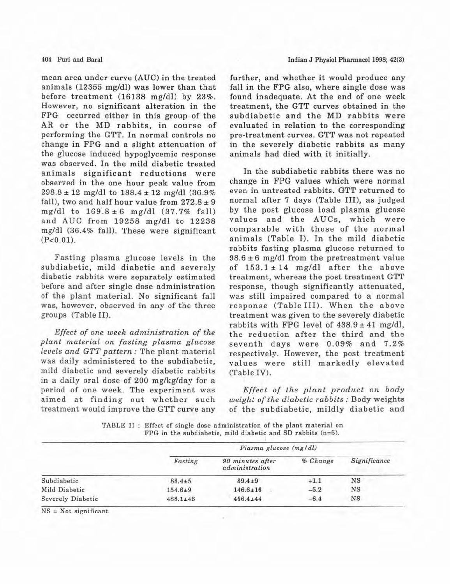### 404 Puri and Baral

mean area under curve (AUC) in the treated animals (12355 mg/dl) was lower than that before treatment (16138 mg/dl) by 23%. However, no significant alteration in the FPG occurred either in this group of the AR or the MD rabbits, in course of performing the GTT. In normal controls no change in FPG and a slight attenuation of the glucose induced hypoglycemic response was observed. In the mild diabetic treated animals significant reductions were observed in the one hour peak value from 298.8 <sup>±</sup> 12 mg/dl to 188.4 <sup>±</sup> 12 mg/dl (36.9% fall), two and half hour value from  $272.8 \pm 9$ mg/dl to  $169.8 \pm 6$  mg/dl  $(37.7\% \text{ fall})$ and AUC from 19258 mg/dl to 12238 mg/dl (36.4% fall). These were significant  $(P<0.01)$ .

Fasting plasma glucose levels in the subdiabetic, mild diabetic and severely diabetie rabbits were separately estimated before and after single dose administration of the plant material. No significant fall was, however, observed in any of the three groups (Table II).

*Effect of on.e week administration of the plant material on fasting plasma glucose levels and GTT pattern:* The plant material was daily administered to the subdiabetic, mild diabetic and severely diabetic rabbits in a daily oral dose of 200 mg/kg/day for a period of one week. The experiment was aimed at finding out whether such treatment would improve the GTT curve any

further, and whether it would produce any fall in the FPG also, where single dose was found inadequate. At the end of one week treatment, the GTT curves obtained in the subdiabetic and the MD rabbits were evaluated in relation to the corresponding pre-treatment curves. GTT was not repeated in the severely diabetic rabbits as many animals had died with it initially.

In the subdiabetic rabbits there was no change in FPG values which were normal even in untreated rabbits. GTT returned to normal after 7 days (Table III), as judged by the post glucose load plasma glucose values and the AUCs, which were comparable with those of the normal animals (Table I). In the mild diabetic rabbits fasting plasma glucose returned to  $98.6 \pm 6$  mg/dl from the pretreatment value of  $153.1 \pm 14$  mg/dl after the above treatment, whereas the post treatment GTT response, though significantly attenuated, was still impaired compared to a normal response (Table III). When the above treatment was given to the severely diabetic rabbits with FPG level of  $438.9 \pm 41$  mg/dl, the reduction after the third and the seventh days were 0.09% and 7.2% respectively. However, the post treatment values were still markedly elevated (Table IV).

*Effect of the plant product on body weight of the diabetic rabbits:* Body weights of the subdiabetic, mildly diabetic and

TABLE II : Effect of single dose administration of the plant material on FPG in the subdiabetic, mild diabetic and SD rabbits  $(n=5)$ .

|                          | Plasma glucose (mg/dl) |                                    |          |              |
|--------------------------|------------------------|------------------------------------|----------|--------------|
|                          | Fasting                | 90 minutes after<br>administration | % Change | Significance |
| Subdiabetic              | $88.4 + 5$             | $89.4 \pm 9$                       | $+1.1$   | NS           |
| Mild Diabetic            | $154.6 \pm 9$          | $146.6 \pm 16$                     | $-5.2$   | NS           |
| <b>Severely Diabetic</b> | $488.1 \pm 46$         | $456.4 \pm 44$                     | $-6.4$   | <b>NS</b>    |

 $NS = Not$  significant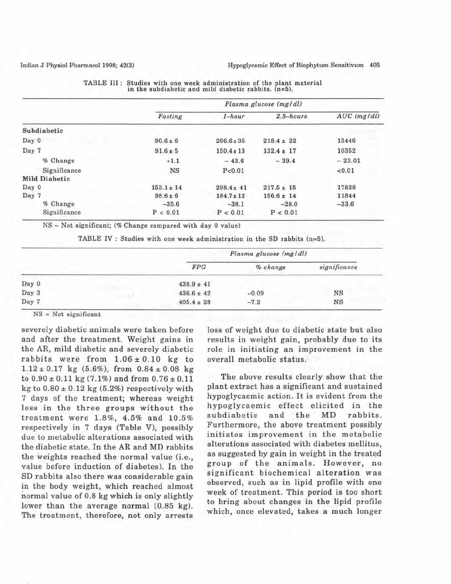|               | Plasma glucose (mg/dl) |                |                |               |  |
|---------------|------------------------|----------------|----------------|---------------|--|
|               | Fasting                | $1 - hour$     | $2.5 - hours$  | $AUC$ (mg/dl) |  |
| Subdiabetic   |                        |                |                |               |  |
| Day 0         | $90.6 \pm 6$           | $266.6 \pm 36$ | $218.4 \pm 22$ | 13446         |  |
| Day 7         | $91.6 \pm 5$           | $150.4 \pm 13$ | $132.4 \pm 17$ | 10352         |  |
| % Change      | $+1.1$                 | $-43.6$        | $-39.4$        | $-23.01$      |  |
| Significance  | NS                     | P < 0.01       |                | < 0.01        |  |
| Mild Diabetic |                        |                |                |               |  |
| Day 0         | $153.1 \pm 14$         | $298.4 \pm 41$ | $217.5 \pm 15$ | 17838         |  |
| Day 7         | $98.6 \pm 6$           | $184.7 \pm 12$ | $156.6 \pm 14$ | 11844         |  |
| % Change      | $-35.6$                | $-38.1$        | $-28.0$        | $-33.6$       |  |
| Significance  | P < 0.01               | P < 0.01       | P < 0.01       |               |  |

|  | TABLE III: Studies with one week administration of the plant material |
|--|-----------------------------------------------------------------------|
|  | in the subdiabetic and mild diabetic rabbits. $(n=5)$ .               |

NS - Not significant; (% Change compared with day 0 value)

TABLE IV : Studies with one week administration in the SO rabbits (n=5).

|       | Plasma glucose (mg/dl) |          |              |  |
|-------|------------------------|----------|--------------|--|
|       | FPG                    | % change | significance |  |
| Day 0 | $438.9 \pm 41$         |          |              |  |
| Day 3 | $436.6 \pm 42$         | $-0.09$  | $_{\rm NS}$  |  |
| Day 7 | $405.4 \pm 28$         | $-7.2$   | NS           |  |

 $NS = Not$  significant

severely diabetic animals were taken before and after the treatment. Weight gains in the AR, mild diabetic and severely diabetic rabbits were from  $1.06 \pm 0.10$  kg to  $1.12 \pm 0.17$  kg (5.6%), from  $0.84 \pm 0.08$  kg to  $0.90 \pm 0.11$  kg (7.1%) and from  $0.76 \pm 0.11$ kg to  $0.80 \pm 0.12$  kg (5.2%) respectively with 7 days of the treatment; whereas weight loss in the three groups without the treatment were 1.8%, 4.5% and 10.5% respectively in 7 days (Table V), possibly due to metabolic alterations associated with the diabetic state. In the AR and MD rabbits the weights reached the normal value (i.e., value before induction of diabetes). In the SD rabbits also there was considerable gain in the body weight, which reached almost normal value of 0.8 kg which is only slightly lower than the average normal (0.85 kg). The treatment, therefore, not only arrests

loss of weight due to diabetic state but also results in weight gain, probably due to its role in initiating an improvement in the overall metabolic status.

The above results clearly show that the plant extract has a significant and sustained hypoglycaemic action. It is evident from the hypoglycaemic effect elicited in the subdiabetic and the MD rabbits. Furthermore, the above treatment possibly initiates improvement in the metabolic alterations associated with diabetes mellitus, as suggested by gain in weight in the treated group of the animals. However, no significant biochemical alteration was observed, such as in lipid profile with one week of treatment. This period is too short to bring about changes in the lipid profile which, once elevated, takes a much longer